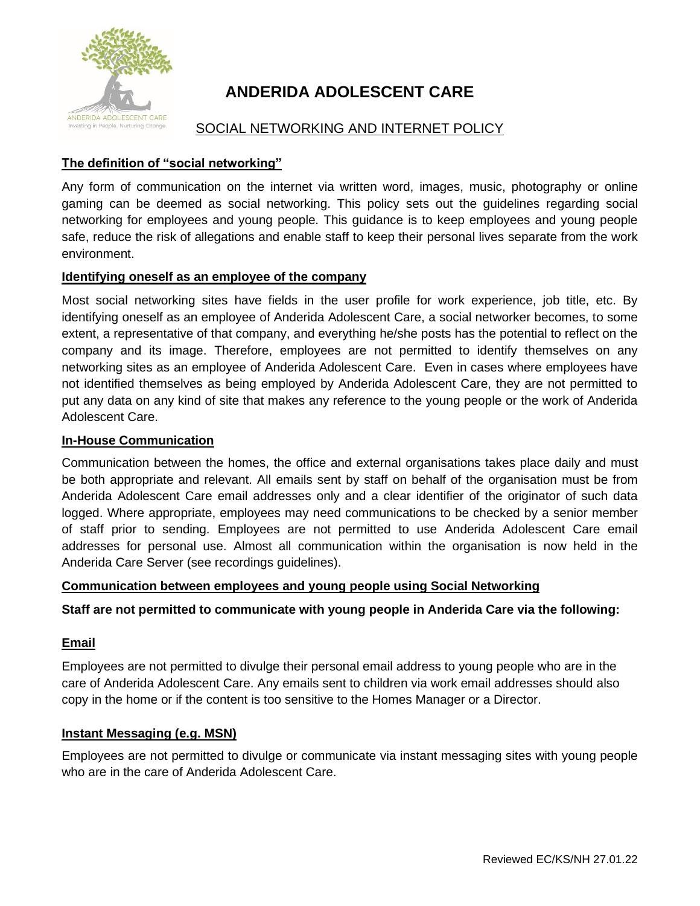

# **ANDERIDA ADOLESCENT CARE**

## SOCIAL NETWORKING AND INTERNET POLICY

### **The definition of "social networking"**

Any form of communication on the internet via written word, images, music, photography or online gaming can be deemed as social networking. This policy sets out the guidelines regarding social networking for employees and young people. This guidance is to keep employees and young people safe, reduce the risk of allegations and enable staff to keep their personal lives separate from the work environment.

#### **Identifying oneself as an employee of the company**

Most social networking sites have fields in the user profile for work experience, job title, etc. By identifying oneself as an employee of Anderida Adolescent Care, a social networker becomes, to some extent, a representative of that company, and everything he/she posts has the potential to reflect on the company and its image. Therefore, employees are not permitted to identify themselves on any networking sites as an employee of Anderida Adolescent Care. Even in cases where employees have not identified themselves as being employed by Anderida Adolescent Care, they are not permitted to put any data on any kind of site that makes any reference to the young people or the work of Anderida Adolescent Care.

#### **In-House Communication**

Communication between the homes, the office and external organisations takes place daily and must be both appropriate and relevant. All emails sent by staff on behalf of the organisation must be from Anderida Adolescent Care email addresses only and a clear identifier of the originator of such data logged. Where appropriate, employees may need communications to be checked by a senior member of staff prior to sending. Employees are not permitted to use Anderida Adolescent Care email addresses for personal use. Almost all communication within the organisation is now held in the Anderida Care Server (see recordings guidelines).

#### **Communication between employees and young people using Social Networking**

#### **Staff are not permitted to communicate with young people in Anderida Care via the following:**

#### **Email**

Employees are not permitted to divulge their personal email address to young people who are in the care of Anderida Adolescent Care. Any emails sent to children via work email addresses should also copy in the home or if the content is too sensitive to the Homes Manager or a Director.

#### **Instant Messaging (e.g. MSN)**

Employees are not permitted to divulge or communicate via instant messaging sites with young people who are in the care of Anderida Adolescent Care.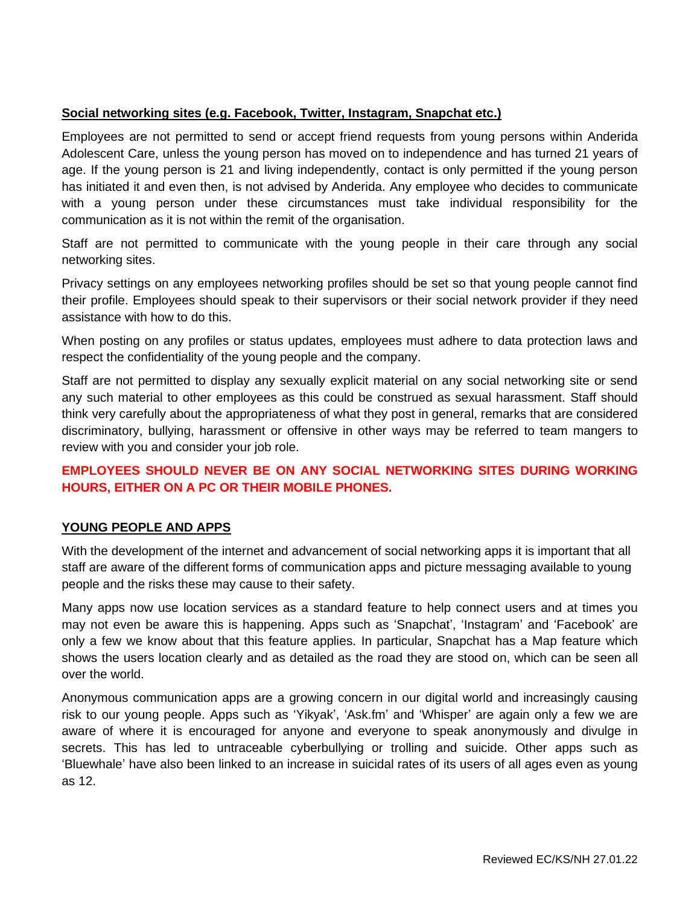#### **Social networking sites (e.g. Facebook, Twitter, Instagram, Snapchat etc.)**

Employees are not permitted to send or accept friend requests from young persons within Anderida Adolescent Care, unless the young person has moved on to independence and has turned 21 years of age. If the young person is 21 and living independently, contact is only permitted if the young person has initiated it and even then, is not advised by Anderida. Any employee who decides to communicate with a young person under these circumstances must take individual responsibility for the communication as it is not within the remit of the organisation.

Staff are not permitted to communicate with the young people in their care through any social networking sites.

Privacy settings on any employees networking profiles should be set so that young people cannot find their profile. Employees should speak to their supervisors or their social network provider if they need assistance with how to do this.

When posting on any profiles or status updates, employees must adhere to data protection laws and respect the confidentiality of the young people and the company.

Staff are not permitted to display any sexually explicit material on any social networking site or send any such material to other employees as this could be construed as sexual harassment. Staff should think very carefully about the appropriateness of what they post in general, remarks that are considered discriminatory, bullying, harassment or offensive in other ways may be referred to team mangers to review with you and consider your job role.

## **EMPLOYEES SHOULD NEVER BE ON ANY SOCIAL NETWORKING SITES DURING WORKING HOURS, EITHER ON A PC OR THEIR MOBILE PHONES.**

#### **YOUNG PEOPLE AND APPS**

With the development of the internet and advancement of social networking apps it is important that all staff are aware of the different forms of communication apps and picture messaging available to young people and the risks these may cause to their safety.

Many apps now use location services as a standard feature to help connect users and at times you may not even be aware this is happening. Apps such as 'Snapchat', 'Instagram' and 'Facebook' are only a few we know about that this feature applies. In particular, Snapchat has a Map feature which shows the users location clearly and as detailed as the road they are stood on, which can be seen all over the world.

Anonymous communication apps are a growing concern in our digital world and increasingly causing risk to our young people. Apps such as 'Yikyak', 'Ask.fm' and 'Whisper' are again only a few we are aware of where it is encouraged for anyone and everyone to speak anonymously and divulge in secrets. This has led to untraceable cyberbullying or trolling and suicide. Other apps such as 'Bluewhale' have also been linked to an increase in suicidal rates of its users of all ages even as young as 12.